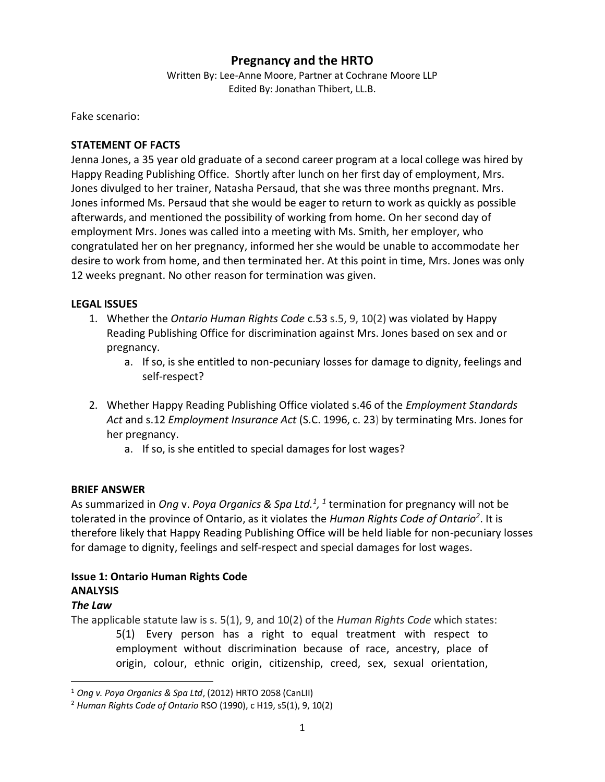# **Pregnancy and the HRTO**

Written By: Lee-Anne Moore, Partner at Cochrane Moore LLP Edited By: Jonathan Thibert, LL.B.

Fake scenario:

### **STATEMENT OF FACTS**

Jenna Jones, a 35 year old graduate of a second career program at a local college was hired by Happy Reading Publishing Office. Shortly after lunch on her first day of employment, Mrs. Jones divulged to her trainer, Natasha Persaud, that she was three months pregnant. Mrs. Jones informed Ms. Persaud that she would be eager to return to work as quickly as possible afterwards, and mentioned the possibility of working from home. On her second day of employment Mrs. Jones was called into a meeting with Ms. Smith, her employer, who congratulated her on her pregnancy, informed her she would be unable to accommodate her desire to work from home, and then terminated her. At this point in time, Mrs. Jones was only 12 weeks pregnant. No other reason for termination was given.

#### **LEGAL ISSUES**

- 1. Whether the *Ontario Human Rights Code* c.53 s.5, 9, 10(2) was violated by Happy Reading Publishing Office for discrimination against Mrs. Jones based on sex and or pregnancy.
	- a. If so, is she entitled to non-pecuniary losses for damage to dignity, feelings and self-respect?
- 2. Whether Happy Reading Publishing Office violated s.46 of the *Employment Standards Act* and s.12 *Employment Insurance Act* (S.C. 1996, c. 23) by terminating Mrs. Jones for her pregnancy.
	- a. If so, is she entitled to special damages for lost wages?

## **BRIEF ANSWER**

As summarized in *Ong* v. *Poya Organics & Spa Ltd.<sup>1</sup>*, <sup>1</sup> termination for pregnancy will not be tolerated in the province of Ontario, as it violates the *Human Rights Code of Ontario<sup>2</sup>* . It is therefore likely that Happy Reading Publishing Office will be held liable for non-pecuniary losses for damage to dignity, feelings and self-respect and special damages for lost wages.

## **Issue 1: Ontario Human Rights Code ANALYSIS**

#### *The Law*

 $\overline{\phantom{a}}$ 

The applicable statute law is s. 5(1), 9, and 10(2) of the *Human Rights Code* which states: 5(1) Every person has a right to equal treatment with respect to employment without discrimination because of race, ancestry, place of origin, colour, ethnic origin, citizenship, creed, sex, sexual orientation,

<sup>1</sup> *Ong v. Poya Organics & Spa Ltd*, (2012) HRTO 2058 (CanLII)

<sup>2</sup> *Human Rights Code of Ontario* RSO (1990), c H19, s5(1), 9, 10(2)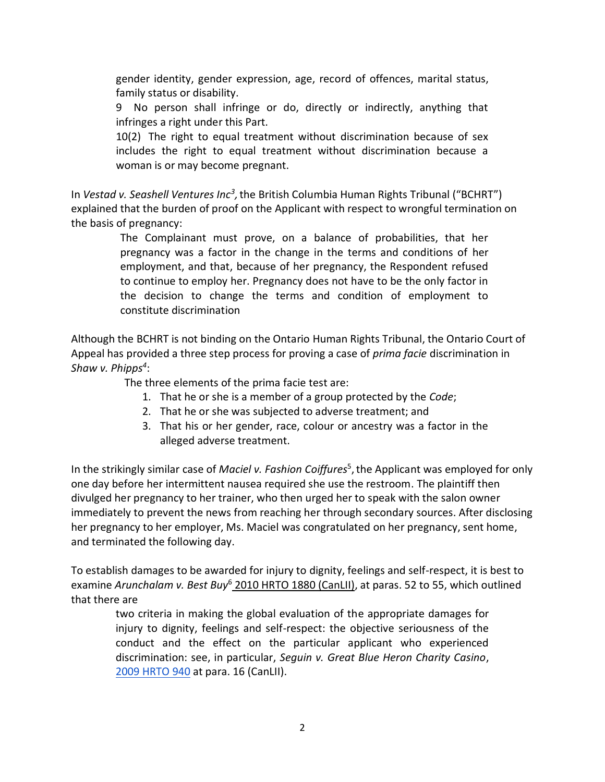gender identity, gender expression, age, record of offences, marital status, family status or disability.

9 No person shall infringe or do, directly or indirectly, anything that infringes a right under this Part.

10(2) The right to equal treatment without discrimination because of sex includes the right to equal treatment without discrimination because a woman is or may become pregnant.

In *Vestad v. Seashell Ventures Inc<sup>3</sup>,* the British Columbia Human Rights Tribunal ("BCHRT") explained that the burden of proof on the Applicant with respect to wrongful termination on the basis of pregnancy:

> The Complainant must prove, on a balance of probabilities, that her pregnancy was a factor in the change in the terms and conditions of her employment, and that, because of her pregnancy, the Respondent refused to continue to employ her. Pregnancy does not have to be the only factor in the decision to change the terms and condition of employment to constitute discrimination

Although the BCHRT is not binding on the Ontario Human Rights Tribunal, the Ontario Court of Appeal has provided a three step process for proving a case of *prima facie* discrimination in *Shaw v. Phipps<sup>4</sup>* :

The three elements of the prima facie test are:

- 1. That he or she is a member of a group protected by the *Code*;
- 2. That he or she was subjected to adverse treatment; and
- 3. That his or her gender, race, colour or ancestry was a factor in the alleged adverse treatment.

In the strikingly similar case of *Maciel v. Fashion Coiffures*<sup>5</sup>, the Applicant was employed for only one day before her intermittent nausea required she use the restroom. The plaintiff then divulged her pregnancy to her trainer, who then urged her to speak with the salon owner immediately to prevent the news from reaching her through secondary sources. After disclosing her pregnancy to her employer, Ms. Maciel was congratulated on her pregnancy, sent home, and terminated the following day.

To establish damages to be awarded for injury to dignity, feelings and self-respect, it is best to examine *Arunchalam v. Best Buy*<sup>6</sup> 2010 HRTO 1880 (CanLII), at paras. 52 to 55, which outlined that there are

two criteria in making the global evaluation of the appropriate damages for injury to dignity, feelings and self-respect: the objective seriousness of the conduct and the effect on the particular applicant who experienced discrimination: see, in particular, *Seguin v. Great Blue Heron Charity Casino*[,](http://www.canlii.org/en/on/onhrt/doc/2009/2009hrto940/2009hrto940.html) [2009 HRTO 940](http://www.canlii.org/en/on/onhrt/doc/2009/2009hrto940/2009hrto940.html) at para. 16 (CanLII).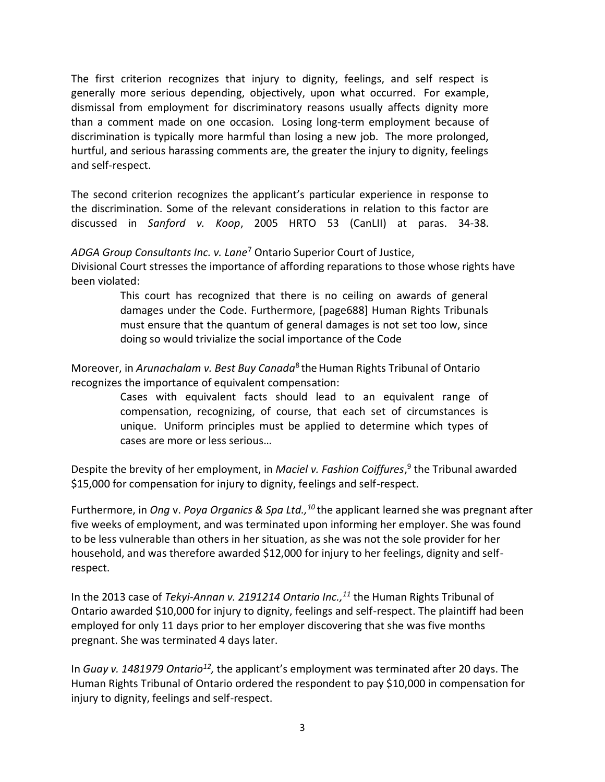The first criterion recognizes that injury to dignity, feelings, and self respect is generally more serious depending, objectively, upon what occurred. For example, dismissal from employment for discriminatory reasons usually affects dignity more than a comment made on one occasion. Losing long-term employment because of discrimination is typically more harmful than losing a new job. The more prolonged, hurtful, and serious harassing comments are, the greater the injury to dignity, feelings and self-respect.

The second criterion recognizes the applicant's particular experience in response to the discrimination. Some of the relevant considerations in relation to this factor are discussed in *Sanford v. Koop*, 2005 HRTO 53 (CanLII) at paras. 34-38.

*ADGA Group Consultants Inc. v. Lane*<sup>7</sup> Ontario Superior Court of Justice,

Divisional Court stresses the importance of affording reparations to those whose rights have been violated:

> This court has recognized that there is no ceiling on awards of general damages under the Code. Furthermore, [page688] Human Rights Tribunals must ensure that the quantum of general damages is not set too low, since doing so would trivialize the social importance of the Code

Moreover, in *Arunachalam v. Best Buy Canada*<sup>8</sup>theHuman Rights Tribunal of Ontario recognizes the importance of equivalent compensation:

> Cases with equivalent facts should lead to an equivalent range of compensation, recognizing, of course, that each set of circumstances is unique. Uniform principles must be applied to determine which types of cases are more or less serious…

Despite the brevity of her employment, in *Maciel v. Fashion Coiffures*, 9 the Tribunal awarded \$15,000 for compensation for injury to dignity, feelings and self-respect.

Furthermore, in *Ong* v. *Poya Organics & Spa Ltd.,<sup>10</sup>*the applicant learned she was pregnant after five weeks of employment, and was terminated upon informing her employer. She was found to be less vulnerable than others in her situation, as she was not the sole provider for her household, and was therefore awarded \$12,000 for injury to her feelings, dignity and selfrespect.

In the 2013 case of *Tekyi-Annan v. 2191214 Ontario Inc.,<sup>11</sup>* the Human Rights Tribunal of Ontario awarded \$10,000 for injury to dignity, feelings and self-respect. The plaintiff had been employed for only 11 days prior to her employer discovering that she was five months pregnant. She was terminated 4 days later.

In *Guay v. 1481979 Ontario<sup>12</sup>,* the applicant's employment was terminated after 20 days. The Human Rights Tribunal of Ontario ordered the respondent to pay \$10,000 in compensation for injury to dignity, feelings and self-respect.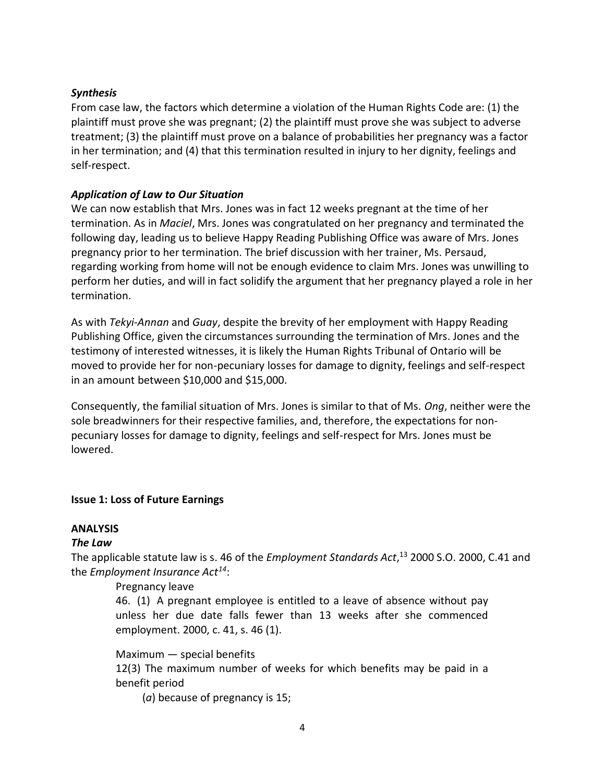#### *Synthesis*

From case law, the factors which determine a violation of the Human Rights Code are: (1) the plaintiff must prove she was pregnant; (2) the plaintiff must prove she was subject to adverse treatment; (3) the plaintiff must prove on a balance of probabilities her pregnancy was a factor in her termination; and (4) that this termination resulted in injury to her dignity, feelings and self-respect.

### *Application of Law to Our Situation*

We can now establish that Mrs. Jones was in fact 12 weeks pregnant at the time of her termination. As in *Maciel*, Mrs. Jones was congratulated on her pregnancy and terminated the following day, leading us to believe Happy Reading Publishing Office was aware of Mrs. Jones pregnancy prior to her termination. The brief discussion with her trainer, Ms. Persaud, regarding working from home will not be enough evidence to claim Mrs. Jones was unwilling to perform her duties, and will in fact solidify the argument that her pregnancy played a role in her termination.

As with *Tekyi-Annan* and *Guay*, despite the brevity of her employment with Happy Reading Publishing Office, given the circumstances surrounding the termination of Mrs. Jones and the testimony of interested witnesses, it is likely the Human Rights Tribunal of Ontario will be moved to provide her for non-pecuniary losses for damage to dignity, feelings and self-respect in an amount between \$10,000 and \$15,000.

Consequently, the familial situation of Mrs. Jones is similar to that of Ms. *Ong*, neither were the sole breadwinners for their respective families, and, therefore, the expectations for nonpecuniary losses for damage to dignity, feelings and self-respect for Mrs. Jones must be lowered.

## **Issue 1: Loss of Future Earnings**

## **ANALYSIS**

## *The Law*

The applicable statute law is s. 46 of the *Employment Standards Act*, <sup>13</sup> 2000 S.O. 2000, C.41 and the *Employment Insurance Act<sup>14</sup>*:

#### Pregnancy leave

46. (1) A pregnant employee is entitled to a leave of absence without pay unless her due date falls fewer than 13 weeks after she commenced employment. 2000, c. 41, s. 46 (1).

Maximum — special benefits 12(3) The maximum number of weeks for which benefits may be paid in a benefit period

(*a*) because of pregnancy is 15;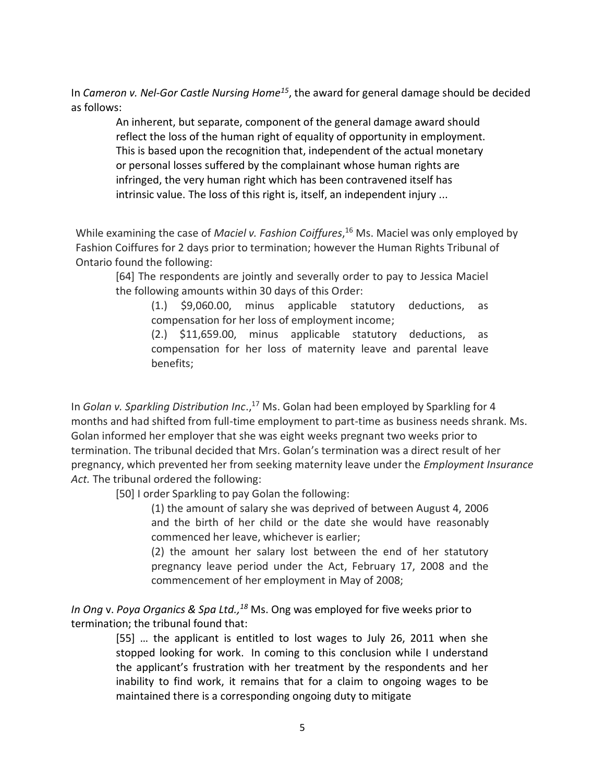In *Cameron v. Nel-Gor Castle Nursing Home<sup>15</sup>*, the award for general damage should be decided as follows:

An inherent, but separate, component of the general damage award should reflect the loss of the human right of equality of opportunity in employment. This is based upon the recognition that, independent of the actual monetary or personal losses suffered by the complainant whose human rights are infringed, the very human right which has been contravened itself has intrinsic value. The loss of this right is, itself, an independent injury ...

While examining the case of *Maciel v. Fashion Coiffures*, <sup>16</sup> Ms. Maciel was only employed by Fashion Coiffures for 2 days prior to termination; however the Human Rights Tribunal of Ontario found the following:

[64] The respondents are jointly and severally order to pay to Jessica Maciel the following amounts within 30 days of this Order:

(1.) \$9,060.00, minus applicable statutory deductions, as compensation for her loss of employment income;

(2.) \$11,659.00, minus applicable statutory deductions, as compensation for her loss of maternity leave and parental leave benefits;

In *Golan v. Sparkling Distribution Inc*., <sup>17</sup> Ms. Golan had been employed by Sparkling for 4 months and had shifted from full-time employment to part-time as business needs shrank. Ms. Golan informed her employer that she was eight weeks pregnant two weeks prior to termination. The tribunal decided that Mrs. Golan's termination was a direct result of her pregnancy, which prevented her from seeking maternity leave under the *Employment Insurance Act.* The tribunal ordered the following:

[50] I order Sparkling to pay Golan the following:

(1) the amount of salary she was deprived of between August 4, 2006 and the birth of her child or the date she would have reasonably commenced her leave, whichever is earlier;

(2) the amount her salary lost between the end of her statutory pregnancy leave period under the Act, February 17, 2008 and the commencement of her employment in May of 2008;

*In Ong* v. *Poya Organics & Spa Ltd.,<sup>18</sup>* Ms. Ong was employed for five weeks prior to termination; the tribunal found that:

> [55] … the applicant is entitled to lost wages to July 26, 2011 when she stopped looking for work. In coming to this conclusion while I understand the applicant's frustration with her treatment by the respondents and her inability to find work, it remains that for a claim to ongoing wages to be maintained there is a corresponding ongoing duty to mitigate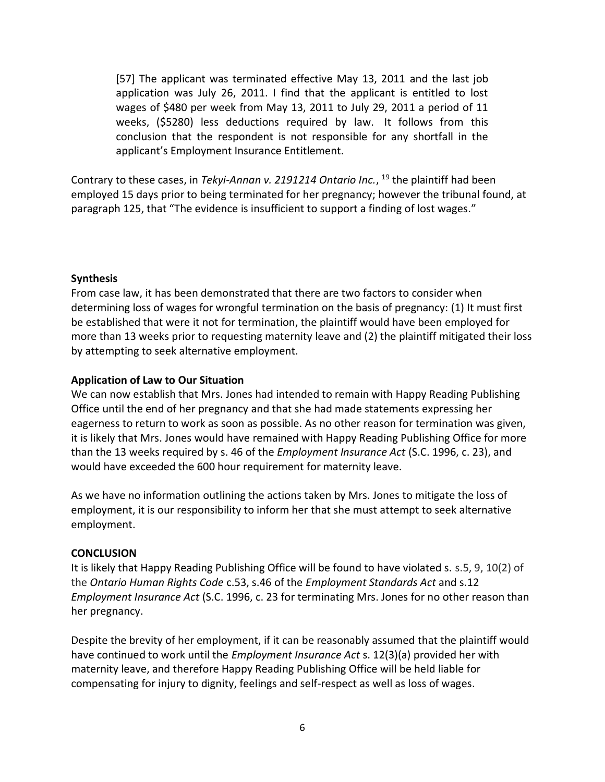[57] The applicant was terminated effective May 13, 2011 and the last job application was July 26, 2011. I find that the applicant is entitled to lost wages of \$480 per week from May 13, 2011 to July 29, 2011 a period of 11 weeks, (\$5280) less deductions required by law. It follows from this conclusion that the respondent is not responsible for any shortfall in the applicant's Employment Insurance Entitlement.

Contrary to these cases, in *Tekyi-Annan v. 2191214 Ontario Inc.*, <sup>19</sup> the plaintiff had been employed 15 days prior to being terminated for her pregnancy; however the tribunal found, at paragraph 125, that "The evidence is insufficient to support a finding of lost wages."

#### **Synthesis**

From case law, it has been demonstrated that there are two factors to consider when determining loss of wages for wrongful termination on the basis of pregnancy: (1) It must first be established that were it not for termination, the plaintiff would have been employed for more than 13 weeks prior to requesting maternity leave and (2) the plaintiff mitigated their loss by attempting to seek alternative employment.

#### **Application of Law to Our Situation**

We can now establish that Mrs. Jones had intended to remain with Happy Reading Publishing Office until the end of her pregnancy and that she had made statements expressing her eagerness to return to work as soon as possible. As no other reason for termination was given, it is likely that Mrs. Jones would have remained with Happy Reading Publishing Office for more than the 13 weeks required by s. 46 of the *Employment Insurance Act* (S.C. 1996, c. 23), and would have exceeded the 600 hour requirement for maternity leave.

As we have no information outlining the actions taken by Mrs. Jones to mitigate the loss of employment, it is our responsibility to inform her that she must attempt to seek alternative employment.

#### **CONCLUSION**

It is likely that Happy Reading Publishing Office will be found to have violated s. s.5, 9, 10(2) of the *Ontario Human Rights Code* c.53, s.46 of the *Employment Standards Act* and s.12 *Employment Insurance Act* (S.C. 1996, c. 23 for terminating Mrs. Jones for no other reason than her pregnancy.

Despite the brevity of her employment, if it can be reasonably assumed that the plaintiff would have continued to work until the *Employment Insurance Act* s. 12(3)(a) provided her with maternity leave, and therefore Happy Reading Publishing Office will be held liable for compensating for injury to dignity, feelings and self-respect as well as loss of wages.